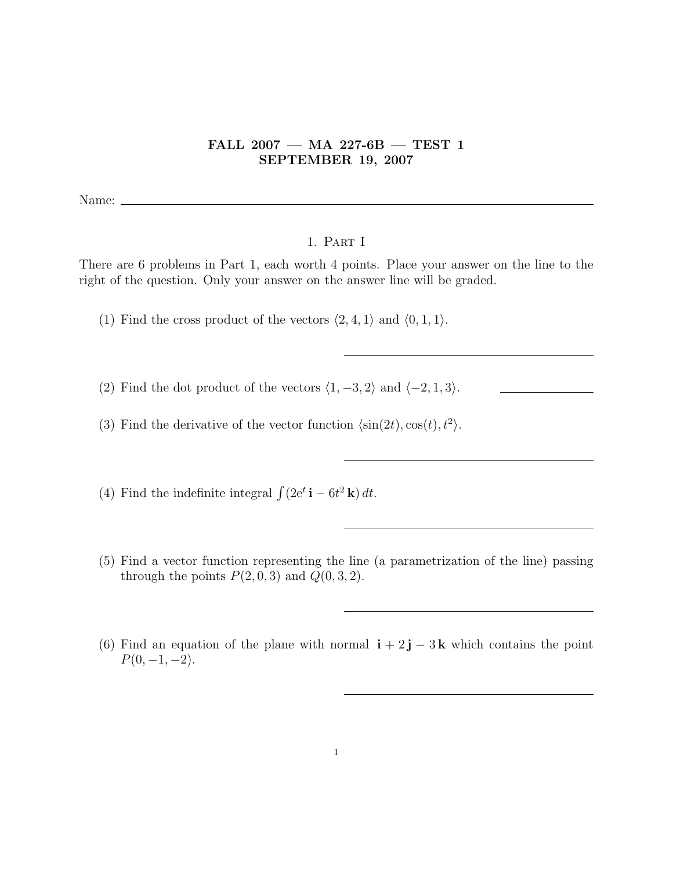## FALL 2007 — MA 227-6B — TEST 1 SEPTEMBER 19, 2007

Name:  $\equiv$ 

## 1. Part I

There are 6 problems in Part 1, each worth 4 points. Place your answer on the line to the right of the question. Only your answer on the answer line will be graded.

- (1) Find the cross product of the vectors  $\langle 2, 4, 1 \rangle$  and  $\langle 0, 1, 1 \rangle$ .
- (2) Find the dot product of the vectors  $\langle 1, -3, 2 \rangle$  and  $\langle -2, 1, 3 \rangle$ .
- (3) Find the derivative of the vector function  $\langle \sin(2t), \cos(t), t^2 \rangle$ .

(4) Find the indefinite integral  $\int (2e^t \mathbf{i} - 6t^2 \mathbf{k}) dt$ .

- (5) Find a vector function representing the line (a parametrization of the line) passing through the points  $P(2, 0, 3)$  and  $Q(0, 3, 2)$ .
- (6) Find an equation of the plane with normal  $\mathbf{i} + 2\mathbf{j} 3\mathbf{k}$  which contains the point  $P(0, -1, -2)$ .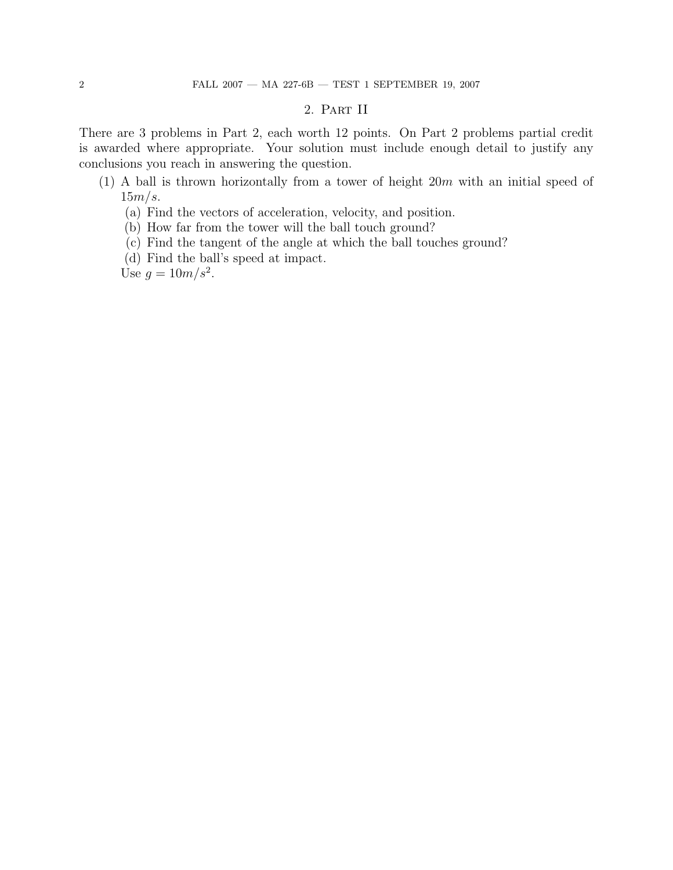## 2. Part II

There are 3 problems in Part 2, each worth 12 points. On Part 2 problems partial credit is awarded where appropriate. Your solution must include enough detail to justify any conclusions you reach in answering the question.

- (1) A ball is thrown horizontally from a tower of height  $20m$  with an initial speed of  $15m/s$ .
	- (a) Find the vectors of acceleration, velocity, and position.
	- (b) How far from the tower will the ball touch ground?
	- (c) Find the tangent of the angle at which the ball touches ground?
	- (d) Find the ball's speed at impact.

Use  $g = 10m/s^2$ .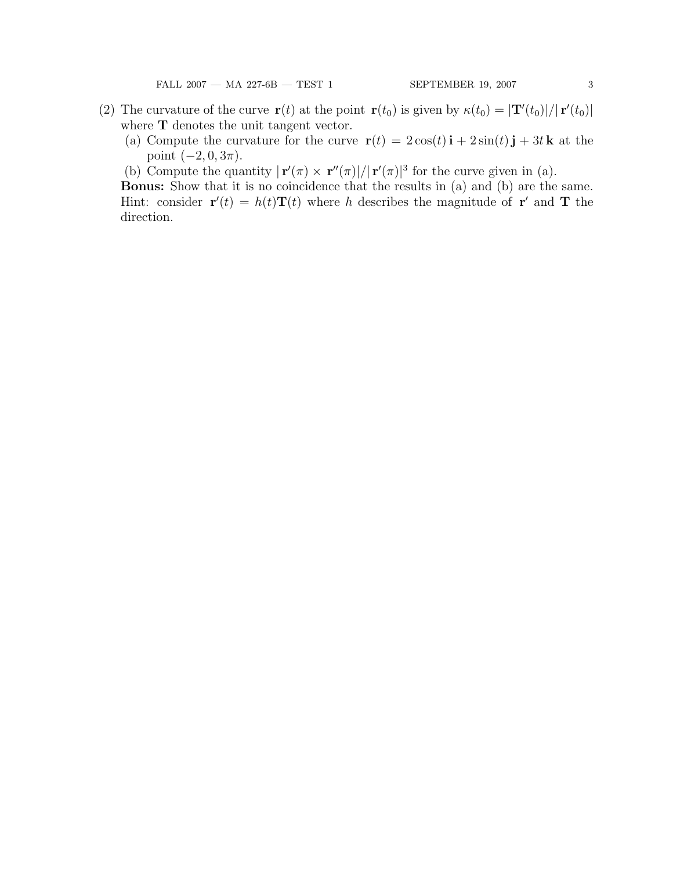- (2) The curvature of the curve  $\mathbf{r}(t)$  at the point  $\mathbf{r}(t_0)$  is given by  $\kappa(t_0) = |\mathbf{T}'(t_0)|/|\mathbf{r}'(t_0)|$ where **T** denotes the unit tangent vector.
	- (a) Compute the curvature for the curve  $\mathbf{r}(t) = 2\cos(t)\mathbf{i} + 2\sin(t)\mathbf{j} + 3t\mathbf{k}$  at the point  $(-2, 0, 3\pi)$ .
	- (b) Compute the quantity  $|\mathbf{r}'(\pi) \times \mathbf{r}''(\pi)|/|\mathbf{r}'(\pi)|^3$  for the curve given in (a).

Bonus: Show that it is no coincidence that the results in (a) and (b) are the same. Hint: consider  $\mathbf{r}'(t) = h(t)\mathbf{T}(t)$  where h describes the magnitude of  $\mathbf{r}'$  and  $\mathbf{T}$  the direction.